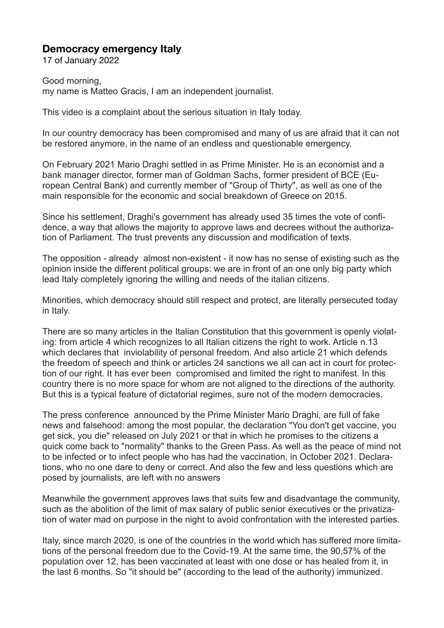## **Democracy emergency Italy**

17 of January 2022

Good morning, my name is Matteo Gracis, I am an independent journalist.

This video is a complaint about the serious situation in Italy today.

In our country democracy has been compromised and many of us are afraid that it can not be restored anymore, in the name of an endless and questionable emergency.

On February 2021 Mario Draghi settled in as Prime Minister. He is an economist and a bank manager director, former man of Goldman Sachs, former president of BCE (European Central Bank) and currently member of "Group of Thirty", as well as one of the main responsible for the economic and social breakdown of Greece on 2015.

Since his settlement, Draghi's government has already used 35 times the vote of confidence, a way that allows the majority to approve laws and decrees without the authorization of Parliament. The trust prevents any discussion and modification of texts.

The opposition - already almost non-existent - it now has no sense of existing such as the opinion inside the different political groups: we are in front of an one only big party which lead Italy completely ignoring the willing and needs of the italian citizens.

Minorities, which democracy should still respect and protect, are literally persecuted today in Italy.

There are so many articles in the Italian Constitution that this government is openly violating: from article 4 which recognizes to all Italian citizens the right to work. Article n.13 which declares that inviolability of personal freedom. And also article 21 which defends the freedom of speech and think or articles 24 sanctions we all can act in court for protection of our right. It has ever been compromised and limited the right to manifest. In this country there is no more space for whom are not aligned to the directions of the authority. But this is a typical feature of dictatorial regimes, sure not of the modern democracies.

The press conference announced by the Prime Minister Mario Draghi, are full of fake news and falsehood: among the most popular, the declaration "You don't get vaccine, you get sick, you die" released on July 2021 or that in which he promises to the citizens a quick come back to "normality" thanks to the Green Pass. As well as the peace of mind not to be infected or to infect people who has had the vaccination, in October 2021. Declarations, who no one dare to deny or correct. And also the few and less questions which are posed by journalists, are left with no answers

Meanwhile the government approves laws that suits few and disadvantage the community, such as the abolition of the limit of max salary of public senior executives or the privatization of water mad on purpose in the night to avoid confrontation with the interested parties.

Italy, since march 2020, is one of the countries in the world which has suffered more limitations of the personal freedom due to the Covid-19. At the same time, the 90,57% of the population over 12, has been vaccinated at least with one dose or has healed from it, in the last 6 months. So "it should be" (according to the lead of the authority) immunized.